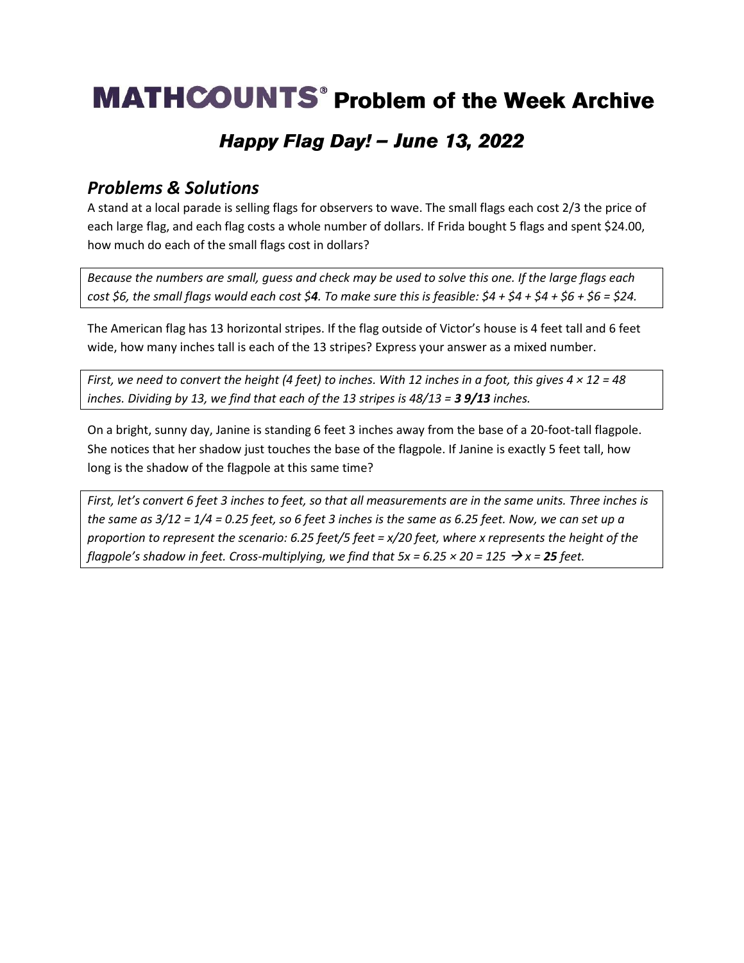# **MATHCOUNTS**<sup>®</sup> Problem of the Week Archive

### Happy Flag Day! - June 13, 2022

#### *Problems & Solutions*

A stand at a local parade is selling flags for observers to wave. The small flags each cost 2/3 the price of each large flag, and each flag costs a whole number of dollars. If Frida bought 5 flags and spent \$24.00, how much do each of the small flags cost in dollars?

*Because the numbers are small, guess and check may be used to solve this one. If the large flags each cost \$6, the small flags would each cost \$4. To make sure this is feasible: \$4 + \$4 + \$4 + \$6 + \$6 = \$24.* 

The American flag has 13 horizontal stripes. If the flag outside of Victor's house is 4 feet tall and 6 feet wide, how many inches tall is each of the 13 stripes? Express your answer as a mixed number.

*First, we need to convert the height (4 feet) to inches. With 12 inches in a foot, this gives 4 × 12 = 48 inches. Dividing by 13, we find that each of the 13 stripes is 48/13 = 3 9/13 inches.* 

On a bright, sunny day, Janine is standing 6 feet 3 inches away from the base of a 20-foot-tall flagpole. She notices that her shadow just touches the base of the flagpole. If Janine is exactly 5 feet tall, how long is the shadow of the flagpole at this same time?

*First, let's convert 6 feet 3 inches to feet, so that all measurements are in the same units. Three inches is the same as 3/12 = 1/4 = 0.25 feet, so 6 feet 3 inches is the same as 6.25 feet. Now, we can set up a proportion to represent the scenario: 6.25 feet/5 feet = x/20 feet, where x represents the height of the flagpole*'s shadow in feet. Cross-multiplying, we find that  $5x = 6.25 \times 20 = 125 \rightarrow x = 25$  feet.